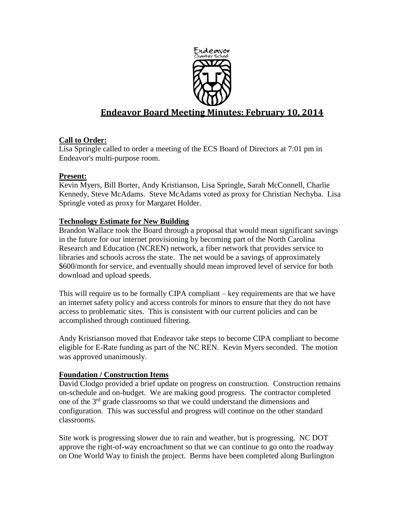

# **Endeavor Board Meeting Minutes: February 10, 2014**

## **Call to Order:**

Lisa Springle called to order a meeting of the ECS Board of Directors at 7:01 pm in Endeavor's multi-purpose room.

## **Present:**

Kevin Myers, Bill Borter, Andy Kristianson, Lisa Springle, Sarah McConnell, Charlie Kennedy, Steve McAdams. Steve McAdams voted as proxy for Christian Nechyba. Lisa Springle voted as proxy for Margaret Holder.

## **Technology Estimate for New Building**

Brandon Wallace took the Board through a proposal that would mean significant savings in the future for our internet provisioning by becoming part of the North Carolina Research and Education (NCREN) network, a fiber network that provides service to libraries and schools across the state. The net would be a savings of approximately \$600/month for service, and eventually should mean improved level of service for both download and upload speeds.

This will require us to be formally CIPA compliant – key requirements are that we have an internet safety policy and access controls for minors to ensure that they do not have access to problematic sites. This is consistent with our current policies and can be accomplished through continued filtering.

Andy Kristianson moved that Endeavor take steps to become CIPA compliant to become eligible for E-Rate funding as part of the NC REN. Kevin Myers seconded. The motion was approved unanimously.

## **Foundation / Construction Items**

David Clodgo provided a brief update on progress on construction. Construction remains on-schedule and on-budget. We are making good progress. The contractor completed one of the  $3<sup>rd</sup>$  grade classrooms so that we could understand the dimensions and configuration. This was successful and progress will continue on the other standard classrooms.

Site work is progressing slower due to rain and weather, but is progressing. NC DOT approve the right-of-way encroachment so that we can continue to go onto the roadway on One World Way to finish the project. Berms have been completed along Burlington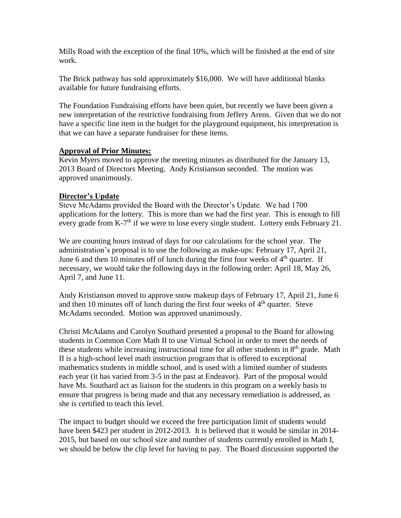Mills Road with the exception of the final 10%, which will be finished at the end of site work.

The Brick pathway has sold approximately \$16,000. We will have additional blanks available for future fundraising efforts.

The Foundation Fundraising efforts have been quiet, but recently we have been given a new interpretation of the restrictive fundraising from Jeffery Arens. Given that we do not have a specific line item in the budget for the playground equipment, his interpretation is that we can have a separate fundraiser for these items.

#### **Approval of Prior Minutes:**

Kevin Myers moved to approve the meeting minutes as distributed for the January 13, 2013 Board of Directors Meeting. Andy Kristianson seconded. The motion was approved unanimously.

#### **Director's Update**

Steve McAdams provided the Board with the Director's Update. We had 1700 applications for the lottery. This is more than we had the first year. This is enough to fill every grade from K-7<sup>th</sup> if we were to lose every single student. Lottery ends February 21.

We are counting hours instead of days for our calculations for the school year. The administration's proposal is to use the following as make-ups: February 17, April 21, June 6 and then 10 minutes off of lunch during the first four weeks of  $4<sup>th</sup>$  quarter. If necessary, we would take the following days in the following order: April 18, May 26, April 7, and June 11.

Andy Kristianson moved to approve snow makeup days of February 17, April 21, June 6 and then 10 minutes off of lunch during the first four weeks of  $4<sup>th</sup>$  quarter. Steve McAdams seconded. Motion was approved unanimously.

Christi McAdams and Carolyn Southard presented a proposal to the Board for allowing students in Common Core Math II to use Virtual School in order to meet the needs of these students while increasing instructional time for all other students in  $8<sup>th</sup>$  grade. Math II is a high-school level math instruction program that is offered to exceptional mathematics students in middle school, and is used with a limited number of students each year (it has varied from 3-5 in the past at Endeavor). Part of the proposal would have Ms. Southard act as liaison for the students in this program on a weekly basis to ensure that progress is being made and that any necessary remediation is addressed, as she is certified to teach this level.

The impact to budget should we exceed the free participation limit of students would have been \$423 per student in 2012-2013. It is believed that it would be similar in 2014- 2015, but based on our school size and number of students currently enrolled in Math I, we should be below the clip level for having to pay. The Board discussion supported the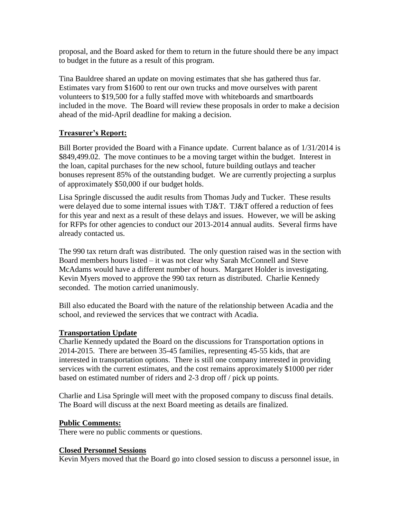proposal, and the Board asked for them to return in the future should there be any impact to budget in the future as a result of this program.

Tina Bauldree shared an update on moving estimates that she has gathered thus far. Estimates vary from \$1600 to rent our own trucks and move ourselves with parent volunteers to \$19,500 for a fully staffed move with whiteboards and smartboards included in the move. The Board will review these proposals in order to make a decision ahead of the mid-April deadline for making a decision.

## **Treasurer's Report:**

Bill Borter provided the Board with a Finance update. Current balance as of 1/31/2014 is \$849,499.02. The move continues to be a moving target within the budget. Interest in the loan, capital purchases for the new school, future building outlays and teacher bonuses represent 85% of the outstanding budget. We are currently projecting a surplus of approximately \$50,000 if our budget holds.

Lisa Springle discussed the audit results from Thomas Judy and Tucker. These results were delayed due to some internal issues with TJ&T. TJ&T offered a reduction of fees for this year and next as a result of these delays and issues. However, we will be asking for RFPs for other agencies to conduct our 2013-2014 annual audits. Several firms have already contacted us.

The 990 tax return draft was distributed. The only question raised was in the section with Board members hours listed – it was not clear why Sarah McConnell and Steve McAdams would have a different number of hours. Margaret Holder is investigating. Kevin Myers moved to approve the 990 tax return as distributed. Charlie Kennedy seconded. The motion carried unanimously.

Bill also educated the Board with the nature of the relationship between Acadia and the school, and reviewed the services that we contract with Acadia.

## **Transportation Update**

Charlie Kennedy updated the Board on the discussions for Transportation options in 2014-2015. There are between 35-45 families, representing 45-55 kids, that are interested in transportation options. There is still one company interested in providing services with the current estimates, and the cost remains approximately \$1000 per rider based on estimated number of riders and 2-3 drop off / pick up points.

Charlie and Lisa Springle will meet with the proposed company to discuss final details. The Board will discuss at the next Board meeting as details are finalized.

## **Public Comments:**

There were no public comments or questions.

## **Closed Personnel Sessions**

Kevin Myers moved that the Board go into closed session to discuss a personnel issue, in